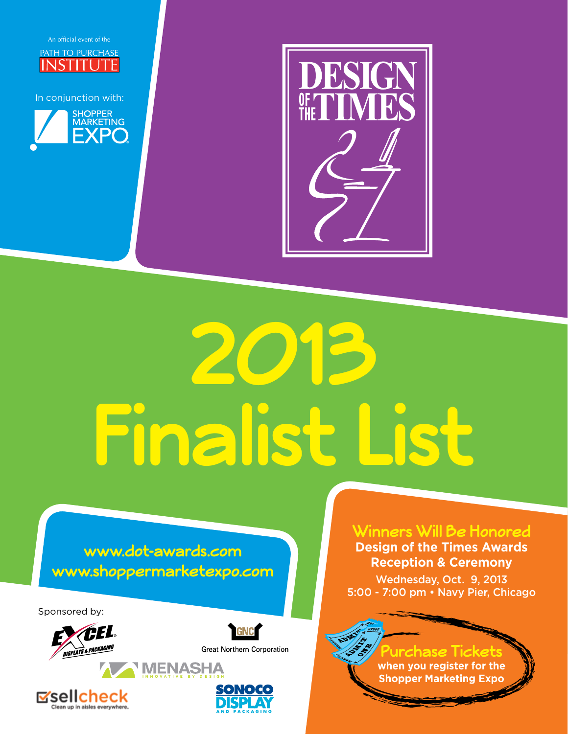

In conjunction with:





# **2013 Finalist List**

#### **www.dot-awards.com www.shoppermarketexpo.com**

Sponsored by:





**Great Northern Corporation** 





**Winners Will Be Honored**

**Design of the Times Awards Reception & Ceremony** Wednesday, Oct. 9, 2013

5:00 - 7:00 pm • Navy Pier, Chicago

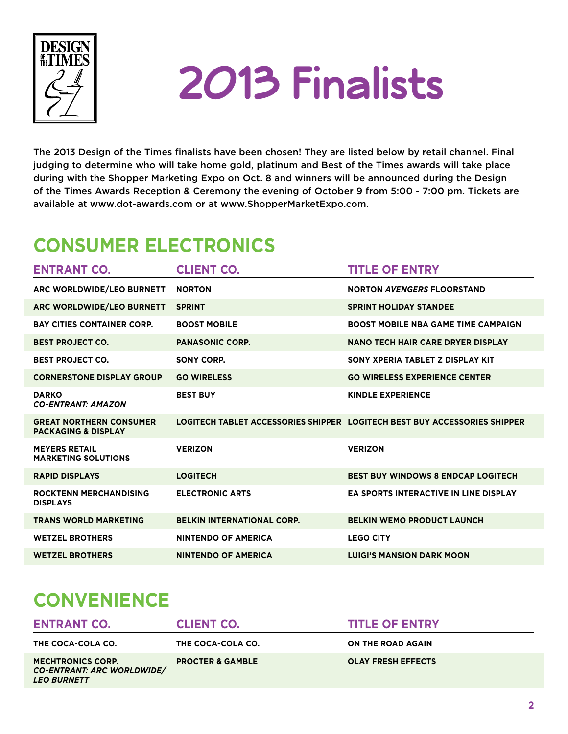

## **2013 Finalists**

The 2013 Design of the Times finalists have been chosen! They are listed below by retail channel. Final judging to determine who will take home gold, platinum and Best of the Times awards will take place during with the Shopper Marketing Expo on Oct. 8 and winners will be announced during the Design of the Times Awards Reception & Ceremony the evening of October 9 from 5:00 - 7:00 pm. Tickets are available at www.dot-awards.com or at www.ShopperMarketExpo.com.

### **Consumer Electronics**

| <b>ENTRANT CO.</b>                                               | <b>CLIENT CO.</b>                 | <b>TITLE OF ENTRY</b>                                                     |
|------------------------------------------------------------------|-----------------------------------|---------------------------------------------------------------------------|
| ARC WORLDWIDE/LEO BURNETT                                        | <b>NORTON</b>                     | <b>NORTON AVENGERS FLOORSTAND</b>                                         |
| ARC WORLDWIDE/LEO BURNETT                                        | <b>SPRINT</b>                     | <b>SPRINT HOLIDAY STANDEE</b>                                             |
| <b>BAY CITIES CONTAINER CORP.</b>                                | <b>BOOST MOBILE</b>               | <b>BOOST MOBILE NBA GAME TIME CAMPAIGN</b>                                |
| <b>BEST PROJECT CO.</b>                                          | <b>PANASONIC CORP.</b>            | NANO TECH HAIR CARE DRYER DISPLAY                                         |
| <b>BEST PROJECT CO.</b>                                          | SONY CORP.                        | SONY XPERIA TABLET Z DISPLAY KIT                                          |
| <b>CORNERSTONE DISPLAY GROUP</b>                                 | <b>GO WIRELESS</b>                | <b>GO WIRELESS EXPERIENCE CENTER</b>                                      |
| <b>DARKO</b><br><b>CO-ENTRANT: AMAZON</b>                        | <b>BEST BUY</b>                   | <b>KINDLE EXPERIENCE</b>                                                  |
| <b>GREAT NORTHERN CONSUMER</b><br><b>PACKAGING &amp; DISPLAY</b> |                                   | LOGITECH TABLET ACCESSORIES SHIPPER LOGITECH BEST BUY ACCESSORIES SHIPPER |
| <b>MEYERS RETAIL</b><br><b>MARKETING SOLUTIONS</b>               | <b>VERIZON</b>                    | <b>VERIZON</b>                                                            |
| <b>RAPID DISPLAYS</b>                                            | <b>LOGITECH</b>                   | <b>BEST BUY WINDOWS 8 ENDCAP LOGITECH</b>                                 |
| <b>ROCKTENN MERCHANDISING</b><br><b>DISPLAYS</b>                 | <b>ELECTRONIC ARTS</b>            | <b>EA SPORTS INTERACTIVE IN LINE DISPLAY</b>                              |
| <b>TRANS WORLD MARKETING</b>                                     | <b>BELKIN INTERNATIONAL CORP.</b> | <b>BELKIN WEMO PRODUCT LAUNCH</b>                                         |
| <b>WETZEL BROTHERS</b>                                           | <b>NINTENDO OF AMERICA</b>        | <b>LEGO CITY</b>                                                          |
| <b>WETZEL BROTHERS</b>                                           | <b>NINTENDO OF AMERICA</b>        | <b>LUIGI'S MANSION DARK MOON</b>                                          |

### **Convenience**

| <b>ENTRANT CO.</b>                                                           | <b>CLIENT CO.</b>           | <b>TITLE OF ENTRY</b>     |
|------------------------------------------------------------------------------|-----------------------------|---------------------------|
| THE COCA-COLA CO.                                                            | THE COCA-COLA CO.           | ON THE ROAD AGAIN         |
| <b>MECHTRONICS CORP.</b><br>CO-ENTRANT: ARC WORLDWIDE/<br><b>LEO BURNETT</b> | <b>PROCTER &amp; GAMBLE</b> | <b>OLAY FRESH EFFECTS</b> |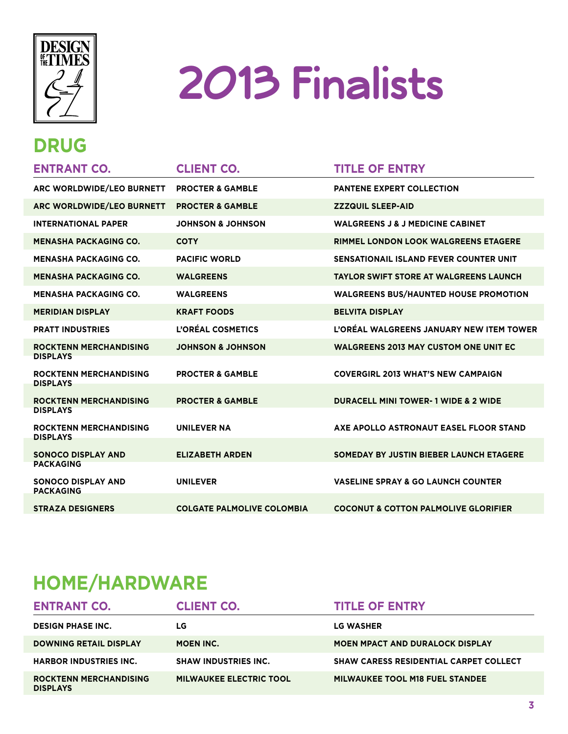

# **2013 Finalists**

### **Drug**

| <b>ENTRANT CO.</b>                                                  | <b>CLIENT CO.</b>                 | <b>TITLE OF ENTRY</b>                           |
|---------------------------------------------------------------------|-----------------------------------|-------------------------------------------------|
| ARC WORLDWIDE/LEO BURNETT                                           | <b>PROCTER &amp; GAMBLE</b>       | <b>PANTENE EXPERT COLLECTION</b>                |
| ARC WORLDWIDE/LEO BURNETT                                           | <b>PROCTER &amp; GAMBLE</b>       | <b>ZZZQUIL SLEEP-AID</b>                        |
| <b>INTERNATIONAL PAPER</b>                                          | <b>JOHNSON &amp; JOHNSON</b>      | <b>WALGREENS J &amp; J MEDICINE CABINET</b>     |
| <b>MENASHA PACKAGING CO.</b>                                        | <b>COTY</b>                       | RIMMEL LONDON LOOK WALGREENS ETAGERE            |
| <b>MENASHA PACKAGING CO.</b>                                        | <b>PACIFIC WORLD</b>              | <b>SENSATIONAIL ISLAND FEVER COUNTER UNIT</b>   |
| <b>MENASHA PACKAGING CO.</b>                                        | <b>WALGREENS</b>                  | <b>TAYLOR SWIFT STORE AT WALGREENS LAUNCH</b>   |
| <b>MENASHA PACKAGING CO.</b>                                        | <b>WALGREENS</b>                  | <b>WALGREENS BUS/HAUNTED HOUSE PROMOTION</b>    |
| <b>MERIDIAN DISPLAY</b>                                             | <b>KRAFT FOODS</b>                | <b>BELVITA DISPLAY</b>                          |
| <b>PRATT INDUSTRIES</b>                                             | L'ORÉAL COSMETICS                 | L'ORÉAL WALGREENS JANUARY NEW ITEM TOWER        |
| <b>ROCKTENN MERCHANDISING</b>                                       | <b>JOHNSON &amp; JOHNSON</b>      | <b>WALGREENS 2013 MAY CUSTOM ONE UNIT EC</b>    |
| <b>DISPLAYS</b><br><b>ROCKTENN MERCHANDISING</b><br><b>DISPLAYS</b> | <b>PROCTER &amp; GAMBLE</b>       | <b>COVERGIRL 2013 WHAT'S NEW CAMPAIGN</b>       |
| <b>ROCKTENN MERCHANDISING</b><br><b>DISPLAYS</b>                    | <b>PROCTER &amp; GAMBLE</b>       | <b>DURACELL MINI TOWER- 1 WIDE &amp; 2 WIDE</b> |
| <b>ROCKTENN MERCHANDISING</b><br><b>DISPLAYS</b>                    | <b>UNILEVER NA</b>                | AXE APOLLO ASTRONAUT EASEL FLOOR STAND          |
| <b>SONOCO DISPLAY AND</b><br><b>PACKAGING</b>                       | <b>ELIZABETH ARDEN</b>            | SOMEDAY BY JUSTIN BIEBER LAUNCH ETAGERE         |
| <b>SONOCO DISPLAY AND</b><br><b>PACKAGING</b>                       | <b>UNILEVER</b>                   | <b>VASELINE SPRAY &amp; GO LAUNCH COUNTER</b>   |
| <b>STRAZA DESIGNERS</b>                                             | <b>COLGATE PALMOLIVE COLOMBIA</b> | <b>COCONUT &amp; COTTON PALMOLIVE GLORIFIER</b> |

### **Home/Hardware**

| <b>ENTRANT CO.</b>                               | <b>CLIENT CO.</b>              | <b>TITLE OF ENTRY</b>                         |
|--------------------------------------------------|--------------------------------|-----------------------------------------------|
| <b>DESIGN PHASE INC.</b>                         | LG                             | LG WASHER                                     |
| <b>DOWNING RETAIL DISPLAY</b>                    | <b>MOEN INC.</b>               | <b>MOEN MPACT AND DURALOCK DISPLAY</b>        |
| <b>HARBOR INDUSTRIES INC.</b>                    | <b>SHAW INDUSTRIES INC.</b>    | <b>SHAW CARESS RESIDENTIAL CARPET COLLECT</b> |
| <b>ROCKTENN MERCHANDISING</b><br><b>DISPLAYS</b> | <b>MILWAUKEE ELECTRIC TOOL</b> | <b>MILWAUKEE TOOL M18 FUEL STANDEE</b>        |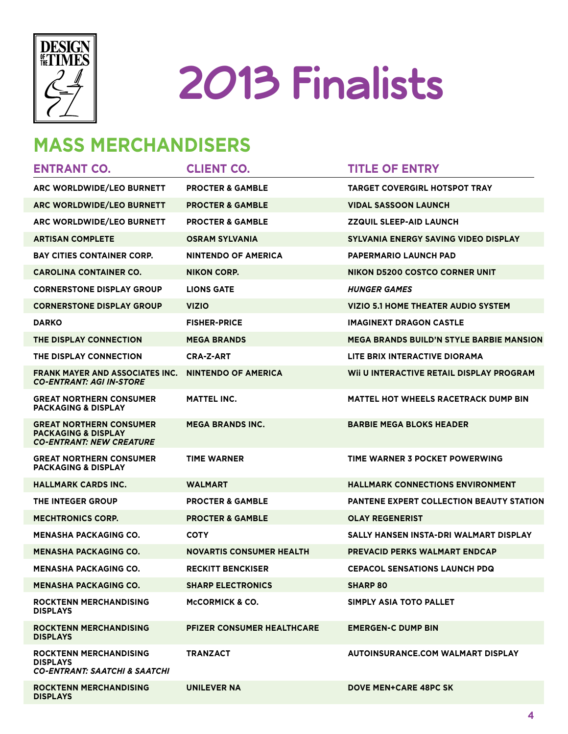

# **2013 Finalists**

### **Mass Merchandisers**

| <b>ENTRANT CO.</b>                                                                                  | <b>CLIENT CO.</b>                 | <b>TITLE OF ENTRY</b>                           |
|-----------------------------------------------------------------------------------------------------|-----------------------------------|-------------------------------------------------|
| ARC WORLDWIDE/LEO BURNETT                                                                           | <b>PROCTER &amp; GAMBLE</b>       | <b>TARGET COVERGIRL HOTSPOT TRAY</b>            |
| ARC WORLDWIDE/LEO BURNETT                                                                           | <b>PROCTER &amp; GAMBLE</b>       | <b>VIDAL SASSOON LAUNCH</b>                     |
| ARC WORLDWIDE/LEO BURNETT                                                                           | <b>PROCTER &amp; GAMBLE</b>       | <b>ZZQUIL SLEEP-AID LAUNCH</b>                  |
| <b>ARTISAN COMPLETE</b>                                                                             | OSRAM SYLVANIA                    | SYLVANIA ENERGY SAVING VIDEO DISPLAY            |
| <b>BAY CITIES CONTAINER CORP.</b>                                                                   | <b>NINTENDO OF AMERICA</b>        | <b>PAPERMARIO LAUNCH PAD</b>                    |
| <b>CAROLINA CONTAINER CO.</b>                                                                       | NIKON CORP.                       | <b>NIKON D5200 COSTCO CORNER UNIT</b>           |
| <b>CORNERSTONE DISPLAY GROUP</b>                                                                    | <b>LIONS GATE</b>                 | <b>HUNGER GAMES</b>                             |
| <b>CORNERSTONE DISPLAY GROUP</b>                                                                    | VIZIO                             | VIZIO 5.1 HOME THEATER AUDIO SYSTEM             |
| <b>DARKO</b>                                                                                        | <b>FISHER-PRICE</b>               | <b>IMAGINEXT DRAGON CASTLE</b>                  |
| THE DISPLAY CONNECTION                                                                              | <b>MEGA BRANDS</b>                | <b>MEGA BRANDS BUILD'N STYLE BARBIE MANSION</b> |
| <b>THE DISPLAY CONNECTION</b>                                                                       | <b>CRA-Z-ART</b>                  | LITE BRIX INTERACTIVE DIORAMA                   |
| <b>FRANK MAYER AND ASSOCIATES INC.</b><br><b>CO-ENTRANT: AGI IN-STORE</b>                           | <b>NINTENDO OF AMERICA</b>        | WII U INTERACTIVE RETAIL DISPLAY PROGRAM        |
| <b>GREAT NORTHERN CONSUMER</b><br><b>PACKAGING &amp; DISPLAY</b>                                    | <b>MATTEL INC.</b>                | <b>MATTEL HOT WHEELS RACETRACK DUMP BIN</b>     |
| <b>GREAT NORTHERN CONSUMER</b><br><b>PACKAGING &amp; DISPLAY</b><br><b>CO-ENTRANT: NEW CREATURE</b> | <b>MEGA BRANDS INC.</b>           | <b>BARBIE MEGA BLOKS HEADER</b>                 |
| <b>GREAT NORTHERN CONSUMER</b><br><b>PACKAGING &amp; DISPLAY</b>                                    | <b>TIME WARNER</b>                | TIME WARNER 3 POCKET POWERWING                  |
| <b>HALLMARK CARDS INC.</b>                                                                          | WALMART                           | <b>HALLMARK CONNECTIONS ENVIRONMENT</b>         |
| <b>THE INTEGER GROUP</b>                                                                            | <b>PROCTER &amp; GAMBLE</b>       | <b>PANTENE EXPERT COLLECTION BEAUTY STATION</b> |
| <b>MECHTRONICS CORP.</b>                                                                            | <b>PROCTER &amp; GAMBLE</b>       | <b>OLAY REGENERIST</b>                          |
| <b>MENASHA PACKAGING CO.</b>                                                                        | <b>COTY</b>                       | SALLY HANSEN INSTA-DRI WALMART DISPLAY          |
| <b>MENASHA PACKAGING CO.</b>                                                                        | <b>NOVARTIS CONSUMER HEALTH</b>   | <b>PREVACID PERKS WALMART ENDCAP</b>            |
| <b>MENASHA PACKAGING CO.</b>                                                                        | <b>RECKITT BENCKISER</b>          | <b>CEPACOL SENSATIONS LAUNCH PDQ</b>            |
| <b>MENASHA PACKAGING CO.</b>                                                                        | <b>SHARP ELECTRONICS</b>          | <b>SHARP 80</b>                                 |
| <b>ROCKTENN MERCHANDISING</b><br><b>DISPLAYS</b>                                                    | <b>MCCORMICK &amp; CO.</b>        | SIMPLY ASIA TOTO PALLET                         |
| <b>ROCKTENN MERCHANDISING</b><br><b>DISPLAYS</b>                                                    | <b>PFIZER CONSUMER HEALTHCARE</b> | <b>EMERGEN-C DUMP BIN</b>                       |
| <b>ROCKTENN MERCHANDISING</b><br><b>DISPLAYS</b><br><b>CO-ENTRANT: SAATCHI &amp; SAATCHI</b>        | TRANZACT                          | <b>AUTOINSURANCE.COM WALMART DISPLAY</b>        |
| <b>ROCKTENN MERCHANDISING</b><br><b>DISPLAYS</b>                                                    | UNILEVER NA                       | <b>DOVE MEN+CARE 48PC SK</b>                    |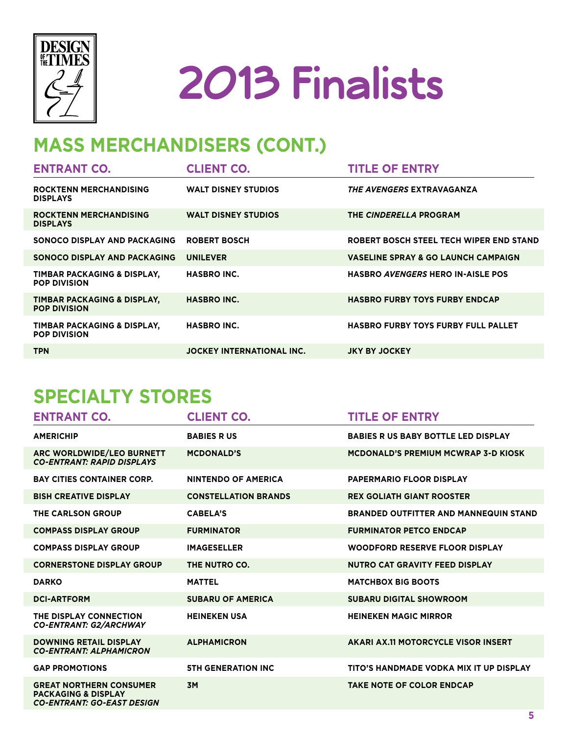



### **Mass Merchandisers (cont.)**

| <b>ENTRANT CO.</b>                                 | <b>CLIENT CO.</b>                | <b>TITLE OF ENTRY</b>                          |
|----------------------------------------------------|----------------------------------|------------------------------------------------|
| <b>ROCKTENN MERCHANDISING</b><br><b>DISPLAYS</b>   | <b>WALT DISNEY STUDIOS</b>       | <i>THE AVENGERS</i> EXTRAVAGANZA               |
| <b>ROCKTENN MERCHANDISING</b><br><b>DISPLAYS</b>   | <b>WALT DISNEY STUDIOS</b>       | THE CINDERELLA PROGRAM                         |
| SONOCO DISPLAY AND PACKAGING                       | <b>ROBERT BOSCH</b>              | ROBERT BOSCH STEEL TECH WIPER END STAND        |
| SONOCO DISPLAY AND PACKAGING                       | <b>UNILEVER</b>                  | <b>VASELINE SPRAY &amp; GO LAUNCH CAMPAIGN</b> |
| TIMBAR PACKAGING & DISPLAY,<br><b>POP DIVISION</b> | <b>HASBRO INC.</b>               | <b>HASBRO AVENGERS HERO IN-AISLE POS</b>       |
| TIMBAR PACKAGING & DISPLAY,<br><b>POP DIVISION</b> | <b>HASBRO INC.</b>               | <b>HASBRO FURBY TOYS FURBY ENDCAP</b>          |
| TIMBAR PACKAGING & DISPLAY,<br><b>POP DIVISION</b> | <b>HASBRO INC.</b>               | <b>HASBRO FURBY TOYS FURBY FULL PALLET</b>     |
| <b>TPN</b>                                         | <b>JOCKEY INTERNATIONAL INC.</b> | <b>JKY BY JOCKEY</b>                           |

#### **Specialty Stores**

| <b>ENTRANT CO.</b>                                                                                    | <b>CLIENT CO.</b>           | <b>TITLE OF ENTRY</b>                        |
|-------------------------------------------------------------------------------------------------------|-----------------------------|----------------------------------------------|
| <b>AMERICHIP</b>                                                                                      | <b>BABIES RUS</b>           | <b>BABIES R US BABY BOTTLE LED DISPLAY</b>   |
| ARC WORLDWIDE/LEO BURNETT<br><b>CO-ENTRANT: RAPID DISPLAYS</b>                                        | <b>MCDONALD'S</b>           | <b>MCDONALD'S PREMIUM MCWRAP 3-D KIOSK</b>   |
| <b>BAY CITIES CONTAINER CORP.</b>                                                                     | <b>NINTENDO OF AMERICA</b>  | <b>PAPERMARIO FLOOR DISPLAY</b>              |
| <b>BISH CREATIVE DISPLAY</b>                                                                          | <b>CONSTELLATION BRANDS</b> | <b>REX GOLIATH GIANT ROOSTER</b>             |
| <b>THE CARLSON GROUP</b>                                                                              | <b>CABELA'S</b>             | <b>BRANDED OUTFITTER AND MANNEQUIN STAND</b> |
| <b>COMPASS DISPLAY GROUP</b>                                                                          | <b>FURMINATOR</b>           | <b>FURMINATOR PETCO ENDCAP</b>               |
| <b>COMPASS DISPLAY GROUP</b>                                                                          | <b>IMAGESELLER</b>          | <b>WOODFORD RESERVE FLOOR DISPLAY</b>        |
| <b>CORNERSTONE DISPLAY GROUP</b>                                                                      | THE NUTRO CO.               | <b>NUTRO CAT GRAVITY FEED DISPLAY</b>        |
| <b>DARKO</b>                                                                                          | <b>MATTEL</b>               | <b>MATCHBOX BIG BOOTS</b>                    |
| <b>DCI-ARTFORM</b>                                                                                    | <b>SUBARU OF AMERICA</b>    | <b>SUBARU DIGITAL SHOWROOM</b>               |
| THE DISPLAY CONNECTION<br><b>CO-ENTRANT: G2/ARCHWAY</b>                                               | <b>HEINEKEN USA</b>         | <b>HEINEKEN MAGIC MIRROR</b>                 |
| <b>DOWNING RETAIL DISPLAY</b><br><b>CO-ENTRANT: ALPHAMICRON</b>                                       | <b>ALPHAMICRON</b>          | AKARI AX.11 MOTORCYCLE VISOR INSERT          |
| <b>GAP PROMOTIONS</b>                                                                                 | <b>5TH GENERATION INC</b>   | TITO'S HANDMADE VODKA MIX IT UP DISPLAY      |
| <b>GREAT NORTHERN CONSUMER</b><br><b>PACKAGING &amp; DISPLAY</b><br><b>CO-ENTRANT: GO-EAST DESIGN</b> | <b>3M</b>                   | <b>TAKE NOTE OF COLOR ENDCAP</b>             |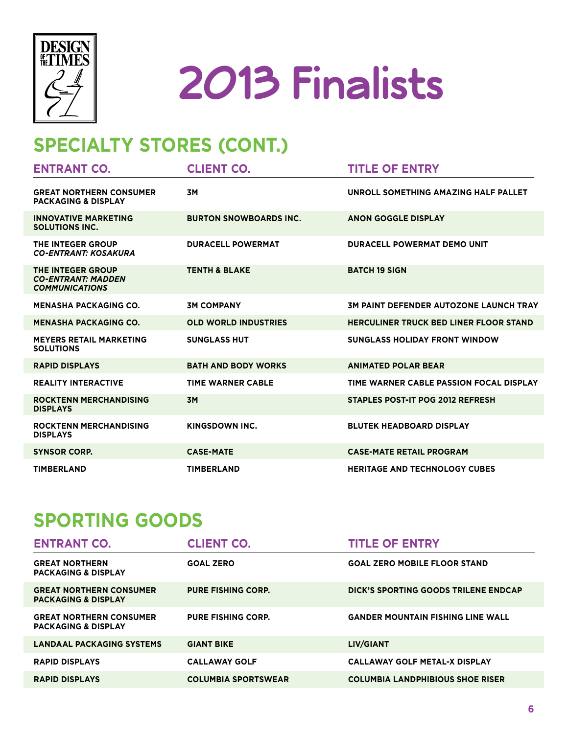



### **Specialty Stores (cont.)**

| <b>ENTRANT CO.</b>                                                      | <b>CLIENT CO.</b>             | <b>TITLE OF ENTRY</b>                         |
|-------------------------------------------------------------------------|-------------------------------|-----------------------------------------------|
| <b>GREAT NORTHERN CONSUMER</b><br><b>PACKAGING &amp; DISPLAY</b>        | <b>3M</b>                     | UNROLL SOMETHING AMAZING HALF PALLET          |
| <b>INNOVATIVE MARKETING</b><br><b>SOLUTIONS INC.</b>                    | <b>BURTON SNOWBOARDS INC.</b> | <b>ANON GOGGLE DISPLAY</b>                    |
| THE INTEGER GROUP<br><b>CO-ENTRANT: KOSAKURA</b>                        | <b>DURACELL POWERMAT</b>      | <b>DURACELL POWERMAT DEMO UNIT</b>            |
| THE INTEGER GROUP<br><b>CO-ENTRANT: MADDEN</b><br><b>COMMUNICATIONS</b> | <b>TENTH &amp; BLAKE</b>      | <b>BATCH 19 SIGN</b>                          |
| <b>MENASHA PACKAGING CO.</b>                                            | <b>3M COMPANY</b>             | <b>3M PAINT DEFENDER AUTOZONE LAUNCH TRAY</b> |
| <b>MENASHA PACKAGING CO.</b>                                            | <b>OLD WORLD INDUSTRIES</b>   | <b>HERCULINER TRUCK BED LINER FLOOR STAND</b> |
| <b>MEYERS RETAIL MARKETING</b><br><b>SOLUTIONS</b>                      | <b>SUNGLASS HUT</b>           | <b>SUNGLASS HOLIDAY FRONT WINDOW</b>          |
| <b>RAPID DISPLAYS</b>                                                   | <b>BATH AND BODY WORKS</b>    | <b>ANIMATED POLAR BEAR</b>                    |
| <b>REALITY INTERACTIVE</b>                                              | <b>TIME WARNER CABLE</b>      | TIME WARNER CABLE PASSION FOCAL DISPLAY       |
| <b>ROCKTENN MERCHANDISING</b><br><b>DISPLAYS</b>                        | <b>3M</b>                     | <b>STAPLES POST-IT POG 2012 REFRESH</b>       |
| <b>ROCKTENN MERCHANDISING</b><br><b>DISPLAYS</b>                        | KINGSDOWN INC.                | <b>BLUTEK HEADBOARD DISPLAY</b>               |
| <b>SYNSOR CORP.</b>                                                     | <b>CASE-MATE</b>              | <b>CASE-MATE RETAIL PROGRAM</b>               |
| <b>TIMBERLAND</b>                                                       | <b>TIMBERLAND</b>             | <b>HERITAGE AND TECHNOLOGY CUBES</b>          |

#### **Sporting Goods**

| <b>ENTRANT CO.</b>                                               | <b>CLIENT CO.</b>          | <b>TITLE OF ENTRY</b>                    |
|------------------------------------------------------------------|----------------------------|------------------------------------------|
| <b>GREAT NORTHERN</b><br><b>PACKAGING &amp; DISPLAY</b>          | <b>GOAL ZERO</b>           | <b>GOAL ZERO MOBILE FLOOR STAND</b>      |
| <b>GREAT NORTHERN CONSUMER</b><br><b>PACKAGING &amp; DISPLAY</b> | <b>PURE FISHING CORP.</b>  | DICK'S SPORTING GOODS TRILENE ENDCAP     |
| <b>GREAT NORTHERN CONSUMER</b><br><b>PACKAGING &amp; DISPLAY</b> | <b>PURE FISHING CORP.</b>  | <b>GANDER MOUNTAIN FISHING LINE WALL</b> |
| LANDAAL PACKAGING SYSTEMS                                        | <b>GIANT BIKE</b>          | LIV/GIANT                                |
| <b>RAPID DISPLAYS</b>                                            | <b>CALLAWAY GOLF</b>       | <b>CALLAWAY GOLF METAL-X DISPLAY</b>     |
| <b>RAPID DISPLAYS</b>                                            | <b>COLUMBIA SPORTSWEAR</b> | <b>COLUMBIA LANDPHIBIOUS SHOE RISER</b>  |